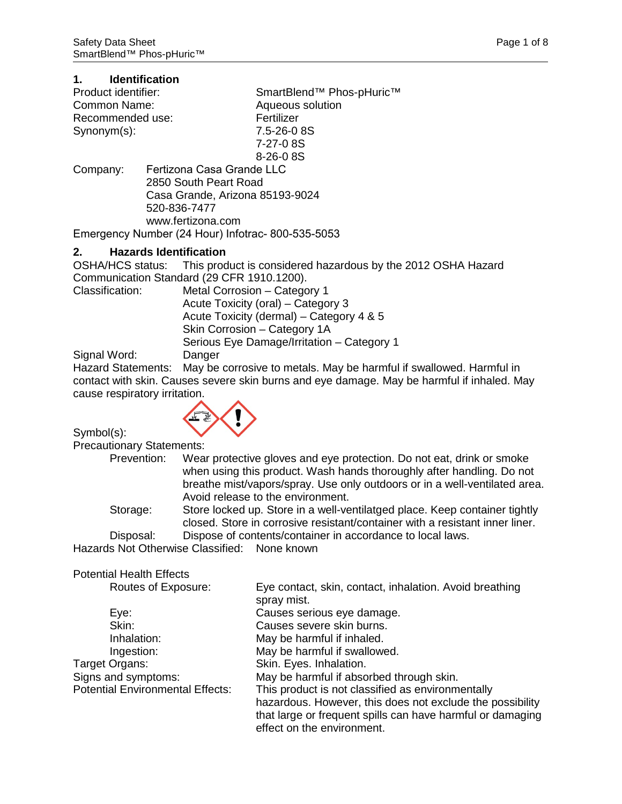| 1.                  | <b>Identification</b>           |                                                  |
|---------------------|---------------------------------|--------------------------------------------------|
| Product identifier: |                                 | SmartBlend <sup>™</sup> Phos-pHuric <sup>™</sup> |
| Common Name:        |                                 | Aqueous solution                                 |
| Recommended use:    |                                 | Fertilizer                                       |
| $Symonym(s)$ :      |                                 | 7.5-26-0 8S                                      |
|                     |                                 | 7-27-08S                                         |
|                     |                                 | $8 - 26 - 0.8$                                   |
| Company:            |                                 | Fertizona Casa Grande LLC                        |
|                     | 2850 South Peart Road           |                                                  |
|                     | Casa Grande, Arizona 85193-9024 |                                                  |
|                     | 520-836-7477                    |                                                  |
|                     | www.fertizona.com               |                                                  |

Emergency Number (24 Hour) Infotrac- 800-535-5053

**2. Hazards Identification** This product is considered hazardous by the 2012 OSHA Hazard Communication Standard (29 CFR 1910.1200).<br>Classification: Metal Corrosion – Catego Metal Corrosion – Category 1 Acute Toxicity (oral) – Category 3 Acute Toxicity (dermal) – Category 4 & 5 Skin Corrosion – Category 1A Serious Eye Damage/Irritation – Category 1<br>Danger

Signal Word:

Hazard Statements: May be corrosive to metals. May be harmful if swallowed. Harmful in contact with skin. Causes severe skin burns and eye damage. May be harmful if inhaled. May cause respiratory irritation.

Symbol(s):



Precautionary Statements:

| i Tccaullonary Olalchichle. |                                                                                                                                                                                                                                                                   |  |
|-----------------------------|-------------------------------------------------------------------------------------------------------------------------------------------------------------------------------------------------------------------------------------------------------------------|--|
| Prevention:                 | Wear protective gloves and eye protection. Do not eat, drink or smoke<br>when using this product. Wash hands thoroughly after handling. Do not<br>breathe mist/vapors/spray. Use only outdoors or in a well-ventilated area.<br>Avoid release to the environment. |  |
| Storage:                    | Store locked up. Store in a well-ventilatged place. Keep container tightly<br>closed. Store in corrosive resistant/container with a resistant inner liner.                                                                                                        |  |
| Disposal:                   | Dispose of contents/container in accordance to local laws.                                                                                                                                                                                                        |  |
|                             | Hazards Not Otherwise Classified: None known                                                                                                                                                                                                                      |  |
|                             |                                                                                                                                                                                                                                                                   |  |

#### Potential Health Effects

| Routes of Exposure:                     | Eye contact, skin, contact, inhalation. Avoid breathing    |
|-----------------------------------------|------------------------------------------------------------|
|                                         | spray mist.                                                |
| Eye:                                    | Causes serious eye damage.                                 |
| Skin:                                   | Causes severe skin burns.                                  |
| Inhalation:                             | May be harmful if inhaled.                                 |
| Ingestion:                              | May be harmful if swallowed.                               |
| Target Organs:                          | Skin. Eyes. Inhalation.                                    |
| Signs and symptoms:                     | May be harmful if absorbed through skin.                   |
| <b>Potential Environmental Effects:</b> | This product is not classified as environmentally          |
|                                         | hazardous. However, this does not exclude the possibility  |
|                                         | that large or frequent spills can have harmful or damaging |
|                                         | effect on the environment.                                 |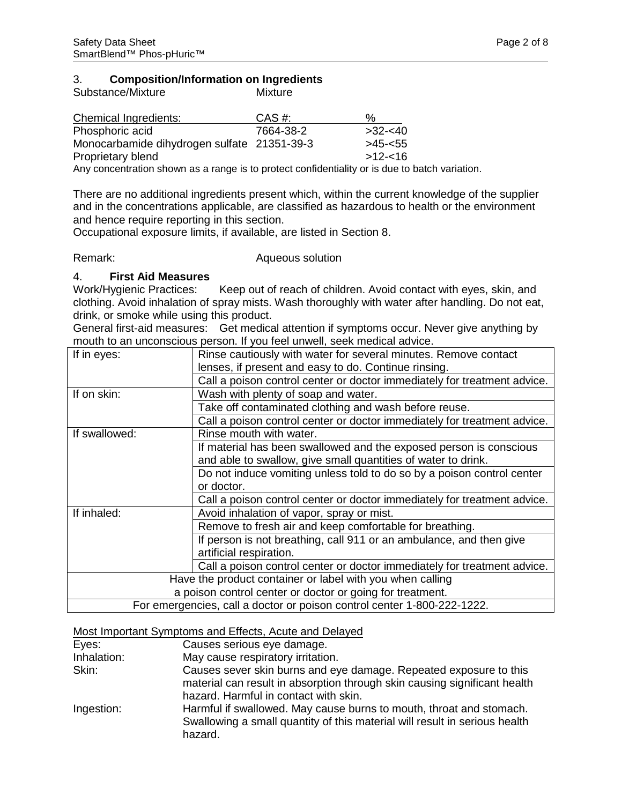# 3. **Composition/Information on Ingredients**

| Substance/Mixture                                                                              | Mixture    |            |
|------------------------------------------------------------------------------------------------|------------|------------|
| Chemical Ingredients:                                                                          | $CAS \#$ : | %          |
| Phosphoric acid                                                                                | 7664-38-2  | $>32 - 40$ |
| Monocarbamide dihydrogen sulfate 21351-39-3                                                    |            | $>45 - 55$ |
| Proprietary blend                                                                              |            | $>12 - 16$ |
| Any concentration shown as a range is to protect confidentiality or is due to batch variation. |            |            |

There are no additional ingredients present which, within the current knowledge of the supplier and in the concentrations applicable, are classified as hazardous to health or the environment and hence require reporting in this section.

Occupational exposure limits, if available, are listed in Section 8.

Remark: Remark: Aqueous solution

#### 4. **First Aid Measures**

Work/Hygienic Practices: Keep out of reach of children. Avoid contact with eyes, skin, and clothing. Avoid inhalation of spray mists. Wash thoroughly with water after handling. Do not eat, drink, or smoke while using this product.

General first-aid measures: Get medical attention if symptoms occur. Never give anything by mouth to an unconscious person. If you feel unwell, seek medical advice.

| If in eyes:                                               | Rinse cautiously with water for several minutes. Remove contact          |  |
|-----------------------------------------------------------|--------------------------------------------------------------------------|--|
|                                                           | lenses, if present and easy to do. Continue rinsing.                     |  |
|                                                           | Call a poison control center or doctor immediately for treatment advice. |  |
| If on skin:                                               | Wash with plenty of soap and water.                                      |  |
|                                                           | Take off contaminated clothing and wash before reuse.                    |  |
|                                                           | Call a poison control center or doctor immediately for treatment advice. |  |
| If swallowed:                                             | Rinse mouth with water.                                                  |  |
|                                                           | If material has been swallowed and the exposed person is conscious       |  |
|                                                           | and able to swallow, give small quantities of water to drink.            |  |
|                                                           | Do not induce vomiting unless told to do so by a poison control center   |  |
|                                                           | or doctor.                                                               |  |
|                                                           | Call a poison control center or doctor immediately for treatment advice. |  |
| If inhaled:                                               | Avoid inhalation of vapor, spray or mist.                                |  |
|                                                           | Remove to fresh air and keep comfortable for breathing.                  |  |
|                                                           | If person is not breathing, call 911 or an ambulance, and then give      |  |
|                                                           | artificial respiration.                                                  |  |
|                                                           | Call a poison control center or doctor immediately for treatment advice. |  |
| Have the product container or label with you when calling |                                                                          |  |
| a poison control center or doctor or going for treatment. |                                                                          |  |
|                                                           | For emergencies, call a doctor or poison control center 1-800-222-1222.  |  |

#### Most Important Symptoms and Effects, Acute and Delayed

| Eyes:       | Causes serious eye damage.                                                                                                                                                              |
|-------------|-----------------------------------------------------------------------------------------------------------------------------------------------------------------------------------------|
| Inhalation: | May cause respiratory irritation.                                                                                                                                                       |
| Skin:       | Causes sever skin burns and eye damage. Repeated exposure to this<br>material can result in absorption through skin causing significant health<br>hazard. Harmful in contact with skin. |
| Ingestion:  | Harmful if swallowed. May cause burns to mouth, throat and stomach.<br>Swallowing a small quantity of this material will result in serious health<br>hazard.                            |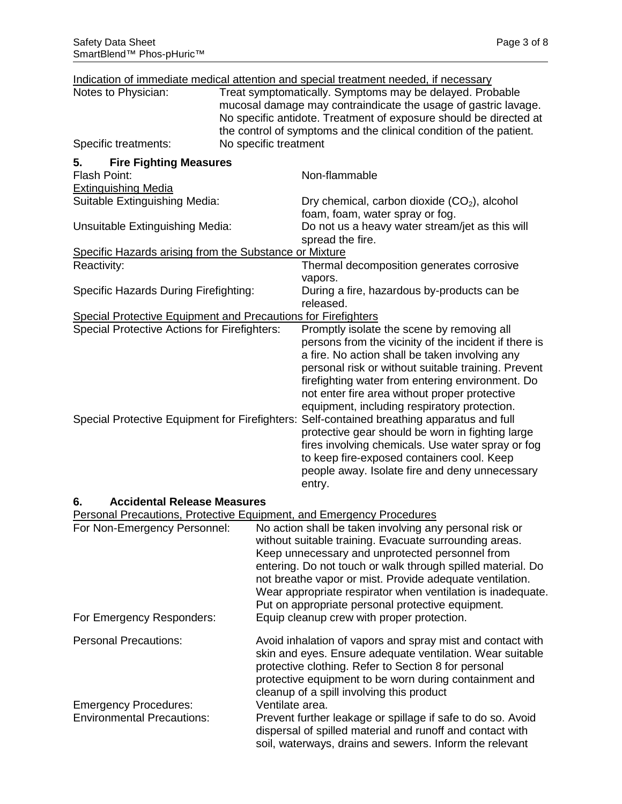|                                                                      |                       | Indication of immediate medical attention and special treatment needed, if necessary                                                                                                                                                                                                                                                                                                                                                                                                                                                                                                                                                 |
|----------------------------------------------------------------------|-----------------------|--------------------------------------------------------------------------------------------------------------------------------------------------------------------------------------------------------------------------------------------------------------------------------------------------------------------------------------------------------------------------------------------------------------------------------------------------------------------------------------------------------------------------------------------------------------------------------------------------------------------------------------|
| Notes to Physician:                                                  |                       | Treat symptomatically. Symptoms may be delayed. Probable<br>mucosal damage may contraindicate the usage of gastric lavage.<br>No specific antidote. Treatment of exposure should be directed at                                                                                                                                                                                                                                                                                                                                                                                                                                      |
| Specific treatments:                                                 | No specific treatment | the control of symptoms and the clinical condition of the patient.                                                                                                                                                                                                                                                                                                                                                                                                                                                                                                                                                                   |
| <b>Fire Fighting Measures</b><br>5.                                  |                       |                                                                                                                                                                                                                                                                                                                                                                                                                                                                                                                                                                                                                                      |
| <b>Flash Point:</b>                                                  |                       | Non-flammable                                                                                                                                                                                                                                                                                                                                                                                                                                                                                                                                                                                                                        |
| <b>Extinguishing Media</b>                                           |                       |                                                                                                                                                                                                                                                                                                                                                                                                                                                                                                                                                                                                                                      |
| Suitable Extinguishing Media:                                        |                       | Dry chemical, carbon dioxide $(CO2)$ , alcohol<br>foam, foam, water spray or fog.                                                                                                                                                                                                                                                                                                                                                                                                                                                                                                                                                    |
| Unsuitable Extinguishing Media:                                      |                       | Do not us a heavy water stream/jet as this will<br>spread the fire.                                                                                                                                                                                                                                                                                                                                                                                                                                                                                                                                                                  |
| Specific Hazards arising from the Substance or Mixture               |                       |                                                                                                                                                                                                                                                                                                                                                                                                                                                                                                                                                                                                                                      |
| Reactivity:                                                          |                       | Thermal decomposition generates corrosive                                                                                                                                                                                                                                                                                                                                                                                                                                                                                                                                                                                            |
|                                                                      |                       | vapors.                                                                                                                                                                                                                                                                                                                                                                                                                                                                                                                                                                                                                              |
| Specific Hazards During Firefighting:                                |                       | During a fire, hazardous by-products can be<br>released.                                                                                                                                                                                                                                                                                                                                                                                                                                                                                                                                                                             |
| <b>Special Protective Equipment and Precautions for Firefighters</b> |                       |                                                                                                                                                                                                                                                                                                                                                                                                                                                                                                                                                                                                                                      |
| <b>Special Protective Actions for Firefighters:</b>                  |                       | Promptly isolate the scene by removing all                                                                                                                                                                                                                                                                                                                                                                                                                                                                                                                                                                                           |
|                                                                      |                       | persons from the vicinity of the incident if there is<br>a fire. No action shall be taken involving any<br>personal risk or without suitable training. Prevent<br>firefighting water from entering environment. Do<br>not enter fire area without proper protective<br>equipment, including respiratory protection.<br>Special Protective Equipment for Firefighters: Self-contained breathing apparatus and full<br>protective gear should be worn in fighting large<br>fires involving chemicals. Use water spray or fog<br>to keep fire-exposed containers cool. Keep<br>people away. Isolate fire and deny unnecessary<br>entry. |

### **6. Accidental Release Measures**

|                                   | Personal Precautions, Protective Equipment, and Emergency Procedures                                                                                                                                                                                                                                                                                                                                                |
|-----------------------------------|---------------------------------------------------------------------------------------------------------------------------------------------------------------------------------------------------------------------------------------------------------------------------------------------------------------------------------------------------------------------------------------------------------------------|
| For Non-Emergency Personnel:      | No action shall be taken involving any personal risk or<br>without suitable training. Evacuate surrounding areas.<br>Keep unnecessary and unprotected personnel from<br>entering. Do not touch or walk through spilled material. Do<br>not breathe vapor or mist. Provide adequate ventilation.<br>Wear appropriate respirator when ventilation is inadequate.<br>Put on appropriate personal protective equipment. |
| For Emergency Responders:         | Equip cleanup crew with proper protection.                                                                                                                                                                                                                                                                                                                                                                          |
| <b>Personal Precautions:</b>      | Avoid inhalation of vapors and spray mist and contact with<br>skin and eyes. Ensure adequate ventilation. Wear suitable<br>protective clothing. Refer to Section 8 for personal<br>protective equipment to be worn during containment and<br>cleanup of a spill involving this product                                                                                                                              |
| <b>Emergency Procedures:</b>      | Ventilate area.                                                                                                                                                                                                                                                                                                                                                                                                     |
| <b>Environmental Precautions:</b> | Prevent further leakage or spillage if safe to do so. Avoid<br>dispersal of spilled material and runoff and contact with<br>soil, waterways, drains and sewers. Inform the relevant                                                                                                                                                                                                                                 |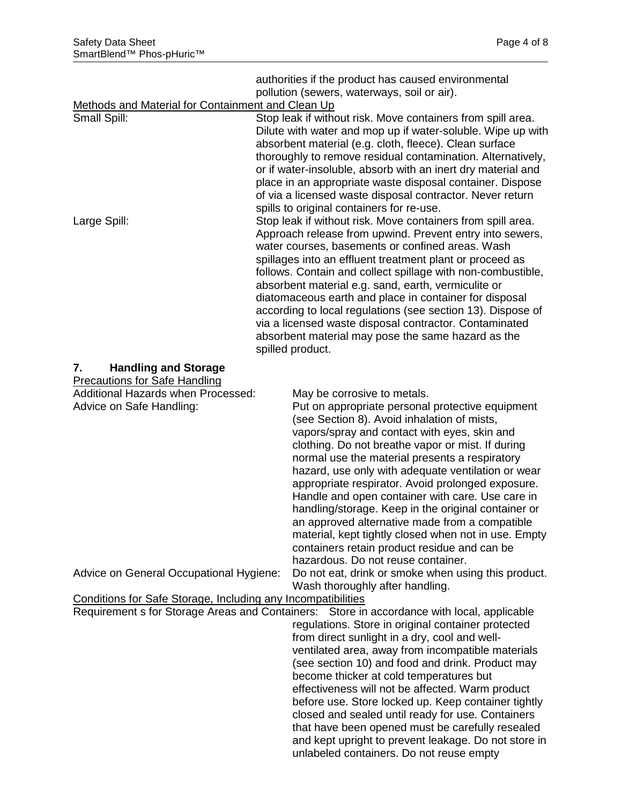authorities if the product has caused environmental pollution (sewers, waterways, soil or air).

### Methods and Material for Containment and Clean Up

| <u>Metrious and Material for Containment and Clean Op</u>    |  |                                                                                            |
|--------------------------------------------------------------|--|--------------------------------------------------------------------------------------------|
| Small Spill:                                                 |  | Stop leak if without risk. Move containers from spill area.                                |
|                                                              |  | Dilute with water and mop up if water-soluble. Wipe up with                                |
|                                                              |  | absorbent material (e.g. cloth, fleece). Clean surface                                     |
|                                                              |  | thoroughly to remove residual contamination. Alternatively,                                |
|                                                              |  | or if water-insoluble, absorb with an inert dry material and                               |
|                                                              |  | place in an appropriate waste disposal container. Dispose                                  |
|                                                              |  |                                                                                            |
|                                                              |  | of via a licensed waste disposal contractor. Never return                                  |
|                                                              |  | spills to original containers for re-use.                                                  |
| Large Spill:                                                 |  | Stop leak if without risk. Move containers from spill area.                                |
|                                                              |  | Approach release from upwind. Prevent entry into sewers,                                   |
|                                                              |  | water courses, basements or confined areas. Wash                                           |
|                                                              |  | spillages into an effluent treatment plant or proceed as                                   |
|                                                              |  | follows. Contain and collect spillage with non-combustible,                                |
|                                                              |  | absorbent material e.g. sand, earth, vermiculite or                                        |
|                                                              |  | diatomaceous earth and place in container for disposal                                     |
|                                                              |  | according to local regulations (see section 13). Dispose of                                |
|                                                              |  | via a licensed waste disposal contractor. Contaminated                                     |
|                                                              |  |                                                                                            |
|                                                              |  | absorbent material may pose the same hazard as the                                         |
|                                                              |  | spilled product.                                                                           |
| 7.<br><b>Handling and Storage</b>                            |  |                                                                                            |
| <b>Precautions for Safe Handling</b>                         |  |                                                                                            |
| Additional Hazards when Processed:                           |  | May be corrosive to metals.                                                                |
| Advice on Safe Handling:                                     |  | Put on appropriate personal protective equipment                                           |
|                                                              |  | (see Section 8). Avoid inhalation of mists,                                                |
|                                                              |  | vapors/spray and contact with eyes, skin and                                               |
|                                                              |  |                                                                                            |
|                                                              |  | clothing. Do not breathe vapor or mist. If during                                          |
|                                                              |  | normal use the material presents a respiratory                                             |
|                                                              |  | hazard, use only with adequate ventilation or wear                                         |
|                                                              |  | appropriate respirator. Avoid prolonged exposure.                                          |
|                                                              |  | Handle and open container with care. Use care in                                           |
|                                                              |  | handling/storage. Keep in the original container or                                        |
|                                                              |  | an approved alternative made from a compatible                                             |
|                                                              |  | material, kept tightly closed when not in use. Empty                                       |
|                                                              |  | containers retain product residue and can be                                               |
|                                                              |  | hazardous. Do not reuse container.                                                         |
| Advice on General Occupational Hygiene:                      |  | Do not eat, drink or smoke when using this product.                                        |
|                                                              |  | Wash thoroughly after handling.                                                            |
|                                                              |  |                                                                                            |
| Conditions for Safe Storage, Including any Incompatibilities |  |                                                                                            |
|                                                              |  | Requirement s for Storage Areas and Containers: Store in accordance with local, applicable |
|                                                              |  | regulations. Store in original container protected                                         |
|                                                              |  | from direct sunlight in a dry, cool and well-                                              |
|                                                              |  | ventilated area, away from incompatible materials                                          |
|                                                              |  | (see section 10) and food and drink. Product may                                           |
|                                                              |  | become thicker at cold temperatures but                                                    |
|                                                              |  | effectiveness will not be affected. Warm product                                           |
|                                                              |  | before use. Store locked up. Keep container tightly                                        |
|                                                              |  | closed and sealed until ready for use. Containers                                          |
|                                                              |  | that have been opened must be carefully resealed                                           |
|                                                              |  | and kept upright to prevent leakage. Do not store in                                       |
|                                                              |  | unlabeled containers. Do not reuse empty                                                   |
|                                                              |  |                                                                                            |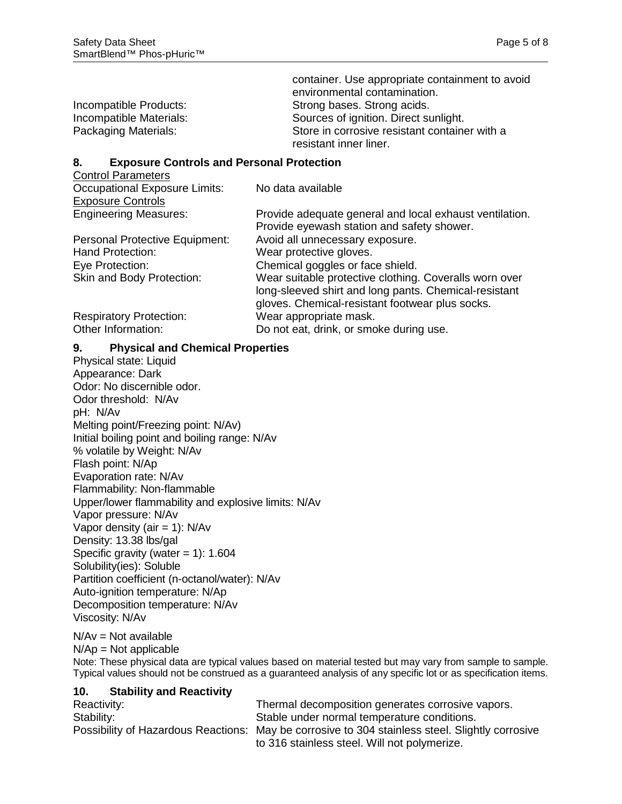|                         | container. Use appropriate containment to avoid |
|-------------------------|-------------------------------------------------|
|                         | environmental contamination.                    |
| Incompatible Products:  | Strong bases. Strong acids.                     |
| Incompatible Materials: | Sources of ignition. Direct sunlight.           |
| Packaging Materials:    | Store in corrosive resistant container with a   |
|                         | resistant inner liner.                          |

#### **8. Exposure Controls and Personal Protection**

Control Parameters

Occupational Exposure Limits: No data available

| <b>Exposure Controls</b>       |                                                                                                                                                                    |
|--------------------------------|--------------------------------------------------------------------------------------------------------------------------------------------------------------------|
| <b>Engineering Measures:</b>   | Provide adequate general and local exhaust ventilation.<br>Provide eyewash station and safety shower.                                                              |
| Personal Protective Equipment: | Avoid all unnecessary exposure.                                                                                                                                    |
| <b>Hand Protection:</b>        | Wear protective gloves.                                                                                                                                            |
| Eye Protection:                | Chemical goggles or face shield.                                                                                                                                   |
| Skin and Body Protection:      | Wear suitable protective clothing. Coveralls worn over<br>long-sleeved shirt and long pants. Chemical-resistant<br>gloves. Chemical-resistant footwear plus socks. |
| <b>Respiratory Protection:</b> | Wear appropriate mask.                                                                                                                                             |
| Other Information:             | Do not eat, drink, or smoke during use.                                                                                                                            |

#### **9. Physical and Chemical Properties**

Physical state: Liquid Appearance: Dark Odor: No discernible odor. Odor threshold: N/Av pH: N/Av Melting point/Freezing point: N/Av) Initial boiling point and boiling range: N/Av % volatile by Weight: N/Av Flash point: N/Ap Evaporation rate: N/Av Flammability: Non-flammable Upper/lower flammability and explosive limits: N/Av Vapor pressure: N/Av Vapor density (air  $= 1$ ): N/Av Density: 13.38 lbs/gal Specific gravity (water  $= 1$ ): 1.604 Solubility(ies): Soluble Partition coefficient (n-octanol/water): N/Av Auto-ignition temperature: N/Ap Decomposition temperature: N/Av Viscosity: N/Av

 $N/Av = Not available$ 

 $N/Ap = Not applicable$ 

Note: These physical data are typical values based on material tested but may vary from sample to sample. Typical values should not be construed as a guaranteed analysis of any specific lot or as specification items.

#### **10. Stability and Reactivity**

| Reactivity: | Thermal decomposition generates corrosive vapors.                                               |
|-------------|-------------------------------------------------------------------------------------------------|
| Stability:  | Stable under normal temperature conditions.                                                     |
|             | Possibility of Hazardous Reactions: May be corrosive to 304 stainless steel. Slightly corrosive |
|             | to 316 stainless steel. Will not polymerize.                                                    |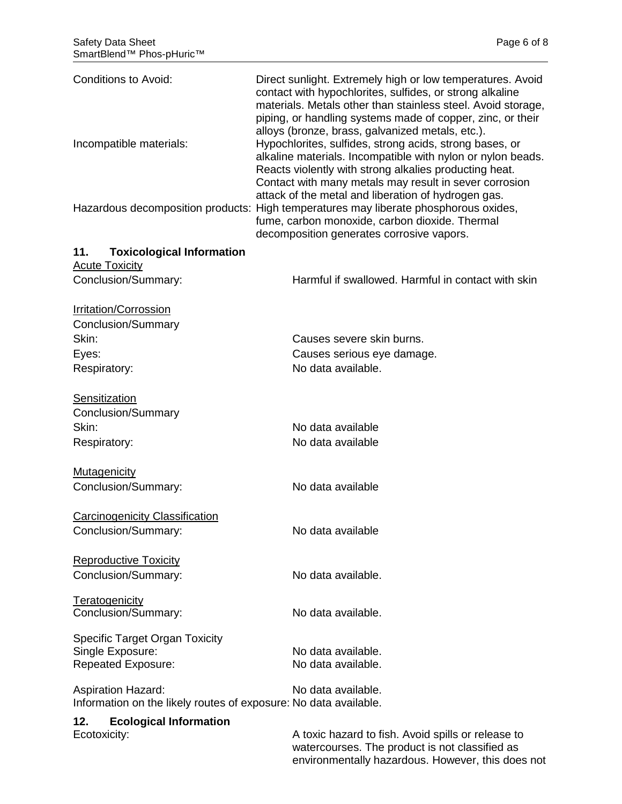| <b>Conditions to Avoid:</b>                                      | Direct sunlight. Extremely high or low temperatures. Avoid<br>contact with hypochlorites, sulfides, or strong alkaline<br>materials. Metals other than stainless steel. Avoid storage,<br>piping, or handling systems made of copper, zinc, or their<br>alloys (bronze, brass, galvanized metals, etc.).<br>Hypochlorites, sulfides, strong acids, strong bases, or<br>alkaline materials. Incompatible with nylon or nylon beads.<br>Reacts violently with strong alkalies producting heat.<br>Contact with many metals may result in sever corrosion |  |  |
|------------------------------------------------------------------|--------------------------------------------------------------------------------------------------------------------------------------------------------------------------------------------------------------------------------------------------------------------------------------------------------------------------------------------------------------------------------------------------------------------------------------------------------------------------------------------------------------------------------------------------------|--|--|
| Incompatible materials:                                          |                                                                                                                                                                                                                                                                                                                                                                                                                                                                                                                                                        |  |  |
|                                                                  | attack of the metal and liberation of hydrogen gas.<br>Hazardous decomposition products: High temperatures may liberate phosphorous oxides,<br>fume, carbon monoxide, carbon dioxide. Thermal<br>decomposition generates corrosive vapors.                                                                                                                                                                                                                                                                                                             |  |  |
| 11.<br><b>Toxicological Information</b>                          |                                                                                                                                                                                                                                                                                                                                                                                                                                                                                                                                                        |  |  |
| <b>Acute Toxicity</b>                                            |                                                                                                                                                                                                                                                                                                                                                                                                                                                                                                                                                        |  |  |
| Conclusion/Summary:                                              | Harmful if swallowed. Harmful in contact with skin                                                                                                                                                                                                                                                                                                                                                                                                                                                                                                     |  |  |
| <b>Irritation/Corrossion</b>                                     |                                                                                                                                                                                                                                                                                                                                                                                                                                                                                                                                                        |  |  |
| Conclusion/Summary                                               |                                                                                                                                                                                                                                                                                                                                                                                                                                                                                                                                                        |  |  |
| Skin:                                                            | Causes severe skin burns.                                                                                                                                                                                                                                                                                                                                                                                                                                                                                                                              |  |  |
| Eyes:                                                            | Causes serious eye damage.                                                                                                                                                                                                                                                                                                                                                                                                                                                                                                                             |  |  |
| Respiratory:                                                     | No data available.                                                                                                                                                                                                                                                                                                                                                                                                                                                                                                                                     |  |  |
| Sensitization                                                    |                                                                                                                                                                                                                                                                                                                                                                                                                                                                                                                                                        |  |  |
| Conclusion/Summary                                               |                                                                                                                                                                                                                                                                                                                                                                                                                                                                                                                                                        |  |  |
| Skin:                                                            | No data available                                                                                                                                                                                                                                                                                                                                                                                                                                                                                                                                      |  |  |
| Respiratory:                                                     | No data available                                                                                                                                                                                                                                                                                                                                                                                                                                                                                                                                      |  |  |
| <b>Mutagenicity</b>                                              |                                                                                                                                                                                                                                                                                                                                                                                                                                                                                                                                                        |  |  |
| Conclusion/Summary:                                              | No data available                                                                                                                                                                                                                                                                                                                                                                                                                                                                                                                                      |  |  |
| <b>Carcinogenicity Classification</b>                            |                                                                                                                                                                                                                                                                                                                                                                                                                                                                                                                                                        |  |  |
| Conclusion/Summary:                                              | No data available                                                                                                                                                                                                                                                                                                                                                                                                                                                                                                                                      |  |  |
| <b>Reproductive Toxicity</b>                                     |                                                                                                                                                                                                                                                                                                                                                                                                                                                                                                                                                        |  |  |
| Conclusion/Summary:                                              | No data available.                                                                                                                                                                                                                                                                                                                                                                                                                                                                                                                                     |  |  |
| Teratogenicity                                                   |                                                                                                                                                                                                                                                                                                                                                                                                                                                                                                                                                        |  |  |
| Conclusion/Summary:                                              | No data available.                                                                                                                                                                                                                                                                                                                                                                                                                                                                                                                                     |  |  |
| <b>Specific Target Organ Toxicity</b>                            |                                                                                                                                                                                                                                                                                                                                                                                                                                                                                                                                                        |  |  |
| Single Exposure:                                                 | No data available.                                                                                                                                                                                                                                                                                                                                                                                                                                                                                                                                     |  |  |
| <b>Repeated Exposure:</b>                                        | No data available.                                                                                                                                                                                                                                                                                                                                                                                                                                                                                                                                     |  |  |
| <b>Aspiration Hazard:</b>                                        | No data available.                                                                                                                                                                                                                                                                                                                                                                                                                                                                                                                                     |  |  |
| Information on the likely routes of exposure: No data available. |                                                                                                                                                                                                                                                                                                                                                                                                                                                                                                                                                        |  |  |
| <b>Ecological Information</b><br>12.                             |                                                                                                                                                                                                                                                                                                                                                                                                                                                                                                                                                        |  |  |

Ecotoxicity: Ecotoxicity: Ecotoxicity: A toxic hazard to fish. Avoid spills or release to watercourses. The product is not classified as environmentally hazardous. However, this does not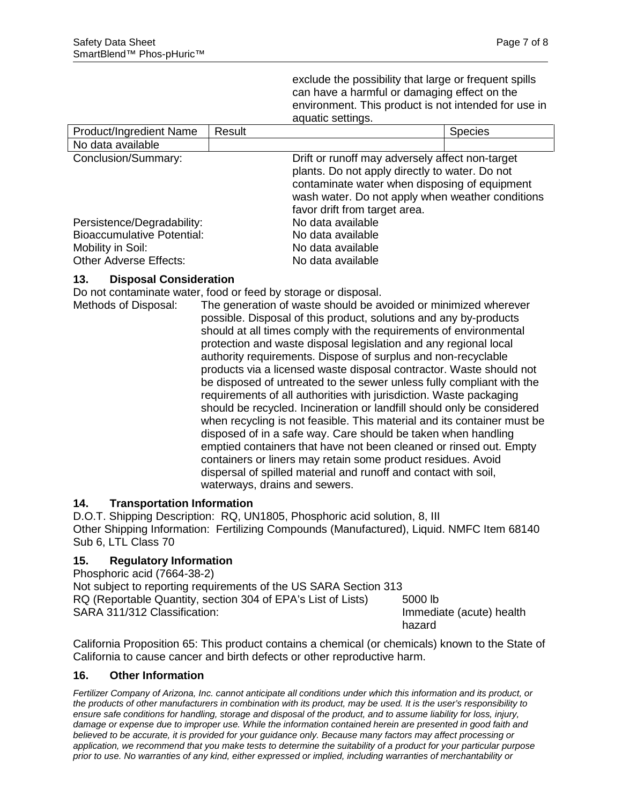exclude the possibility that large or frequent spills can have a harmful or damaging effect on the environment. This product is not intended for use in aquatic settings.

| Product/Ingredient Name           | Result |                                                                                                                                                                                                                                         | <b>Species</b> |
|-----------------------------------|--------|-----------------------------------------------------------------------------------------------------------------------------------------------------------------------------------------------------------------------------------------|----------------|
| No data available                 |        |                                                                                                                                                                                                                                         |                |
| Conclusion/Summary:               |        | Drift or runoff may adversely affect non-target<br>plants. Do not apply directly to water. Do not<br>contaminate water when disposing of equipment<br>wash water. Do not apply when weather conditions<br>favor drift from target area. |                |
| Persistence/Degradability:        |        | No data available                                                                                                                                                                                                                       |                |
| <b>Bioaccumulative Potential:</b> |        | No data available                                                                                                                                                                                                                       |                |
| Mobility in Soil:                 |        | No data available                                                                                                                                                                                                                       |                |
| <b>Other Adverse Effects:</b>     |        | No data available                                                                                                                                                                                                                       |                |

#### **13. Disposal Consideration**

Do not contaminate water, food or feed by storage or disposal.

Methods of Disposal: The generation of waste should be avoided or minimized wherever possible. Disposal of this product, solutions and any by-products should at all times comply with the requirements of environmental protection and waste disposal legislation and any regional local authority requirements. Dispose of surplus and non-recyclable products via a licensed waste disposal contractor. Waste should not be disposed of untreated to the sewer unless fully compliant with the requirements of all authorities with jurisdiction. Waste packaging should be recycled. Incineration or landfill should only be considered when recycling is not feasible. This material and its container must be disposed of in a safe way. Care should be taken when handling emptied containers that have not been cleaned or rinsed out. Empty containers or liners may retain some product residues. Avoid dispersal of spilled material and runoff and contact with soil, waterways, drains and sewers.

## **14. Transportation Information**

D.O.T. Shipping Description: RQ, UN1805, Phosphoric acid solution, 8, III Other Shipping Information: Fertilizing Compounds (Manufactured), Liquid. NMFC Item 68140 Sub 6, LTL Class 70

#### **15. Regulatory Information**

Phosphoric acid (7664-38-2) Not subject to reporting requirements of the US SARA Section 313 RQ (Reportable Quantity, section 304 of EPA's List of Lists) 5000 lb SARA 311/312 Classification: Immediate (acute) health hazard

California Proposition 65: This product contains a chemical (or chemicals) known to the State of California to cause cancer and birth defects or other reproductive harm.

#### **16. Other Information**

*Fertilizer Company of Arizona, Inc. cannot anticipate all conditions under which this information and its product, or the products of other manufacturers in combination with its product, may be used. It is the user's responsibility to ensure safe conditions for handling, storage and disposal of the product, and to assume liability for loss, injury, damage or expense due to improper use. While the information contained herein are presented in good faith and believed to be accurate, it is provided for your guidance only. Because many factors may affect processing or application, we recommend that you make tests to determine the suitability of a product for your particular purpose prior to use. No warranties of any kind, either expressed or implied, including warranties of merchantability or*